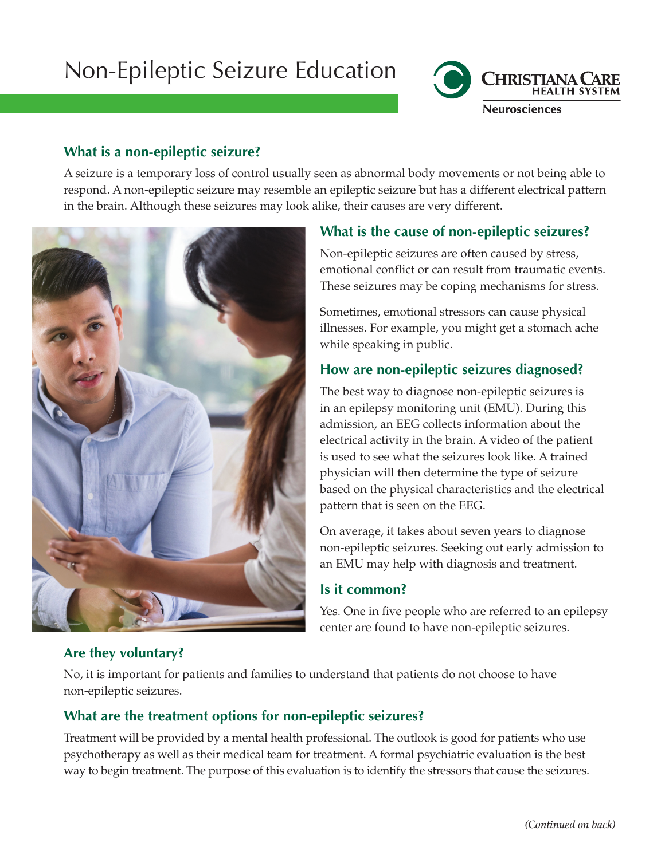# Non-Epileptic Seizure Education



## **What is a non-epileptic seizure?**

A seizure is a temporary loss of control usually seen as abnormal body movements or not being able to respond. A non-epileptic seizure may resemble an epileptic seizure but has a different electrical pattern in the brain. Although these seizures may look alike, their causes are very different.



# **What is the cause of non-epileptic seizures?**

Non-epileptic seizures are often caused by stress, emotional conflict or can result from traumatic events. These seizures may be coping mechanisms for stress.

Sometimes, emotional stressors can cause physical illnesses. For example, you might get a stomach ache while speaking in public.

# **How are non-epileptic seizures diagnosed?**

The best way to diagnose non-epileptic seizures is in an epilepsy monitoring unit (EMU). During this admission, an EEG collects information about the electrical activity in the brain. A video of the patient is used to see what the seizures look like. A trained physician will then determine the type of seizure based on the physical characteristics and the electrical pattern that is seen on the EEG.

On average, it takes about seven years to diagnose non-epileptic seizures. Seeking out early admission to an EMU may help with diagnosis and treatment.

## **Is it common?**

Yes. One in five people who are referred to an epilepsy center are found to have non-epileptic seizures.

# **Are they voluntary?**

No, it is important for patients and families to understand that patients do not choose to have non-epileptic seizures.

# **What are the treatment options for non-epileptic seizures?**

Treatment will be provided by a mental health professional. The outlook is good for patients who use psychotherapy as well as their medical team for treatment. A formal psychiatric evaluation is the best way to begin treatment. The purpose of this evaluation is to identify the stressors that cause the seizures.